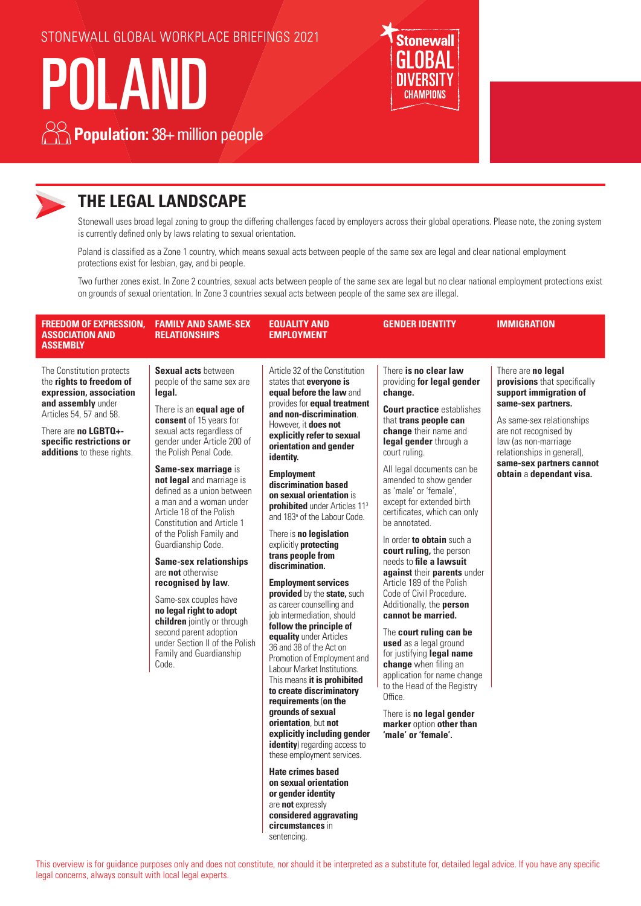STONEWALL GLOBAL WORKPLACE BRIEFINGS 2021

# POLAND





# **THE LEGAL LANDSCAPE**

Stonewall uses broad legal zoning to group the differing challenges faced by employers across their global operations. Please note, the zoning system is currently defined only by laws relating to sexual orientation.

Poland is classified as a Zone 1 country, which means sexual acts between people of the same sex are legal and clear national employment protections exist for lesbian, gay, and bi people.

Two further zones exist. In Zone 2 countries, sexual acts between people of the same sex are legal but no clear national employment protections exist on grounds of sexual orientation. In Zone 3 countries sexual acts between people of the same sex are illegal.

| <b>FREEDOM OF EXPRESSION.</b><br><b>ASSOCIATION AND</b><br><b>ASSEMBLY</b>                                                                                                                                          | <b>FAMILY AND SAME-SEX</b><br><b>RELATIONSHIPS</b>                                                                                                                                                                                                                                                                                                                                                                                                                                                                                                                                                                                                                                                                     | <b>EQUALITY AND</b><br><b>EMPLOYMENT</b>                                                                                                                                                                                                                                                                                                                                                                                                                                                                                                                                                                                                                                                                                                                                                                                                                                                                                                                                                                                                                                                                  | <b>GENDER IDENTITY</b>                                                                                                                                                                                                                                                                                                                                                                                                                                                                                                                                                                                                                                                                                                                                                                                                                                            | <b>IMMIGRATION</b>                                                                                                                                                                                                                                                     |
|---------------------------------------------------------------------------------------------------------------------------------------------------------------------------------------------------------------------|------------------------------------------------------------------------------------------------------------------------------------------------------------------------------------------------------------------------------------------------------------------------------------------------------------------------------------------------------------------------------------------------------------------------------------------------------------------------------------------------------------------------------------------------------------------------------------------------------------------------------------------------------------------------------------------------------------------------|-----------------------------------------------------------------------------------------------------------------------------------------------------------------------------------------------------------------------------------------------------------------------------------------------------------------------------------------------------------------------------------------------------------------------------------------------------------------------------------------------------------------------------------------------------------------------------------------------------------------------------------------------------------------------------------------------------------------------------------------------------------------------------------------------------------------------------------------------------------------------------------------------------------------------------------------------------------------------------------------------------------------------------------------------------------------------------------------------------------|-------------------------------------------------------------------------------------------------------------------------------------------------------------------------------------------------------------------------------------------------------------------------------------------------------------------------------------------------------------------------------------------------------------------------------------------------------------------------------------------------------------------------------------------------------------------------------------------------------------------------------------------------------------------------------------------------------------------------------------------------------------------------------------------------------------------------------------------------------------------|------------------------------------------------------------------------------------------------------------------------------------------------------------------------------------------------------------------------------------------------------------------------|
| The Constitution protects<br>the rights to freedom of<br>expression, association<br>and assembly under<br>Articles 54, 57 and 58.<br>There are no LGBTQ+-<br>specific restrictions or<br>additions to these rights. | <b>Sexual acts between</b><br>people of the same sex are<br>legal.<br>There is an <b>equal age of</b><br>consent of 15 years for<br>sexual acts regardless of<br>gender under Article 200 of<br>the Polish Penal Code.<br>Same-sex marriage is<br>not legal and marriage is<br>defined as a union between<br>a man and a woman under<br>Article 18 of the Polish<br><b>Constitution and Article 1</b><br>of the Polish Family and<br>Guardianship Code.<br><b>Same-sex relationships</b><br>are not otherwise<br>recognised by law.<br>Same-sex couples have<br>no legal right to adopt<br>children jointly or through<br>second parent adoption<br>under Section II of the Polish<br>Family and Guardianship<br>Code. | Article 32 of the Constitution<br>states that everyone is<br>equal before the law and<br>provides for <b>equal treatment</b><br>and non-discrimination.<br>However, it does not<br>explicitly refer to sexual<br>orientation and gender<br>identity.<br><b>Employment</b><br>discrimination based<br>on sexual orientation is<br><b>prohibited</b> under Articles 11 <sup>3</sup><br>and 183 <sup>ª</sup> of the Labour Code.<br>There is no legislation<br>explicitly protecting<br>trans people from<br>discrimination.<br><b>Employment services</b><br>provided by the state, such<br>as career counselling and<br>job intermediation, should<br>follow the principle of<br>equality under Articles<br>36 and 38 of the Act on<br>Promotion of Employment and<br>Labour Market Institutions.<br>This means it is prohibited<br>to create discriminatory<br>requirements (on the<br>grounds of sexual<br>orientation, but not<br>explicitly including gender<br>identity) regarding access to<br>these employment services.<br><b>Hate crimes based</b><br>on sexual orientation<br>or gender identity | There is no clear law<br>providing for legal gender<br>change.<br><b>Court practice establishes</b><br>that trans people can<br>change their name and<br>legal gender through a<br>court ruling.<br>All legal documents can be<br>amended to show gender<br>as 'male' or 'female',<br>except for extended birth<br>certificates, which can only<br>be annotated.<br>In order to obtain such a<br>court ruling, the person<br>needs to file a lawsuit<br>against their parents under<br>Article 189 of the Polish<br>Code of Civil Procedure.<br>Additionally, the person<br>cannot be married.<br>The court ruling can be<br>used as a legal ground<br>for justifying legal name<br>change when filing an<br>application for name change<br>to the Head of the Registry<br>Office.<br>There is no legal gender<br>marker option other than<br>'male' or 'female'. | There are no legal<br>provisions that specifically<br>support immigration of<br>same-sex partners.<br>As same-sex relationships<br>are not recognised by<br>law (as non-marriage<br>relationships in general),<br>same-sex partners cannot<br>obtain a dependant visa. |

This overview is for guidance purposes only and does not constitute, nor should it be interpreted as a substitute for, detailed legal advice. If you have any specific legal concerns, always consult with local legal experts.

are **not** expressly **considered aggravating circumstances** in sentencing.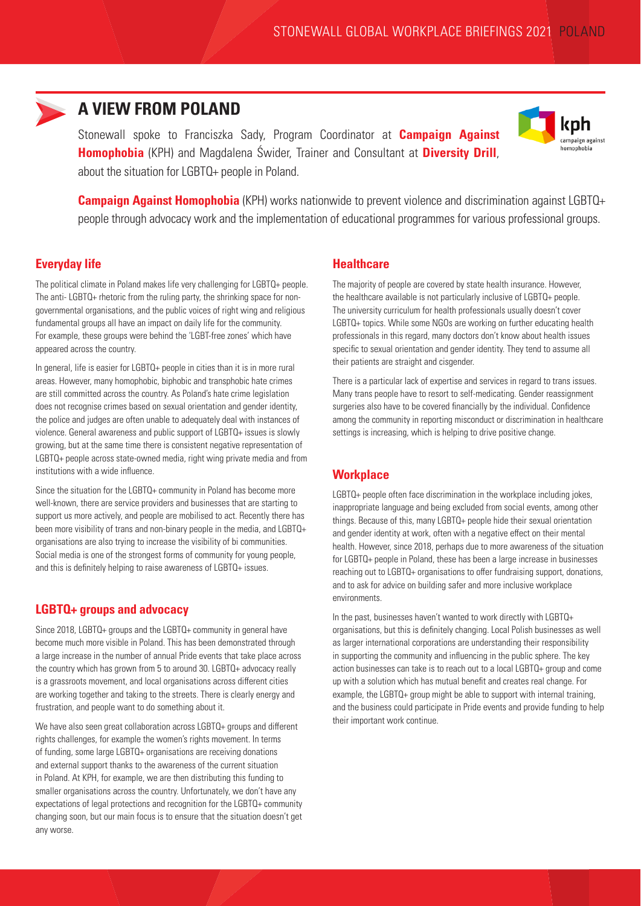

## **A VIEW FROM POLAND**

Stonewall spoke to Franciszka Sady, Program Coordinator at **Campaign Against Homophobia** (KPH) and Magdalena Świder, Trainer and Consultant at **Diversity Drill**, about the situation for LGBTQ+ people in Poland.



**Campaign Against Homophobia** (KPH) works nationwide to prevent violence and discrimination against LGBTQ+ people through advocacy work and the implementation of educational programmes for various professional groups.

#### **Everyday life**

The political climate in Poland makes life very challenging for LGBTQ+ people. The anti- LGBTQ+ rhetoric from the ruling party, the shrinking space for nongovernmental organisations, and the public voices of right wing and religious fundamental groups all have an impact on daily life for the community. For example, these groups were behind the 'LGBT-free zones' which have appeared across the country.

In general, life is easier for LGBTQ+ people in cities than it is in more rural areas. However, many homophobic, biphobic and transphobic hate crimes are still committed across the country. As Poland's hate crime legislation does not recognise crimes based on sexual orientation and gender identity, the police and judges are often unable to adequately deal with instances of violence. General awareness and public support of LGBTQ+ issues is slowly growing, but at the same time there is consistent negative representation of LGBTQ+ people across state-owned media, right wing private media and from institutions with a wide influence.

Since the situation for the LGBTQ+ community in Poland has become more well-known, there are service providers and businesses that are starting to support us more actively, and people are mobilised to act. Recently there has been more visibility of trans and non-binary people in the media, and LGBTQ+ organisations are also trying to increase the visibility of bi communities. Social media is one of the strongest forms of community for young people, and this is definitely helping to raise awareness of LGBTQ+ issues.

#### **LGBTQ+ groups and advocacy**

Since 2018, LGBTQ+ groups and the LGBTQ+ community in general have become much more visible in Poland. This has been demonstrated through a large increase in the number of annual Pride events that take place across the country which has grown from 5 to around 30. LGBTQ+ advocacy really is a grassroots movement, and local organisations across different cities are working together and taking to the streets. There is clearly energy and frustration, and people want to do something about it.

We have also seen great collaboration across LGBTQ+ groups and different rights challenges, for example the women's rights movement. In terms of funding, some large LGBTQ+ organisations are receiving donations and external support thanks to the awareness of the current situation in Poland. At KPH, for example, we are then distributing this funding to smaller organisations across the country. Unfortunately, we don't have any expectations of legal protections and recognition for the LGBTQ+ community changing soon, but our main focus is to ensure that the situation doesn't get any worse.

#### **Healthcare**

The majority of people are covered by state health insurance. However, the healthcare available is not particularly inclusive of LGBTQ+ people. The university curriculum for health professionals usually doesn't cover LGBTQ+ topics. While some NGOs are working on further educating health professionals in this regard, many doctors don't know about health issues specific to sexual orientation and gender identity. They tend to assume all their patients are straight and cisgender.

There is a particular lack of expertise and services in regard to trans issues. Many trans people have to resort to self-medicating. Gender reassignment surgeries also have to be covered financially by the individual. Confidence among the community in reporting misconduct or discrimination in healthcare settings is increasing, which is helping to drive positive change.

#### **Workplace**

LGBTQ+ people often face discrimination in the workplace including jokes, inappropriate language and being excluded from social events, among other things. Because of this, many LGBTQ+ people hide their sexual orientation and gender identity at work, often with a negative effect on their mental health. However, since 2018, perhaps due to more awareness of the situation for LGBTQ+ people in Poland, these has been a large increase in businesses reaching out to LGBTQ+ organisations to offer fundraising support, donations, and to ask for advice on building safer and more inclusive workplace environments.

In the past, businesses haven't wanted to work directly with LGBTQ+ organisations, but this is definitely changing. Local Polish businesses as well as larger international corporations are understanding their responsibility in supporting the community and influencing in the public sphere. The key action businesses can take is to reach out to a local LGBTQ+ group and come up with a solution which has mutual benefit and creates real change. For example, the LGBTQ+ group might be able to support with internal training, and the business could participate in Pride events and provide funding to help their important work continue.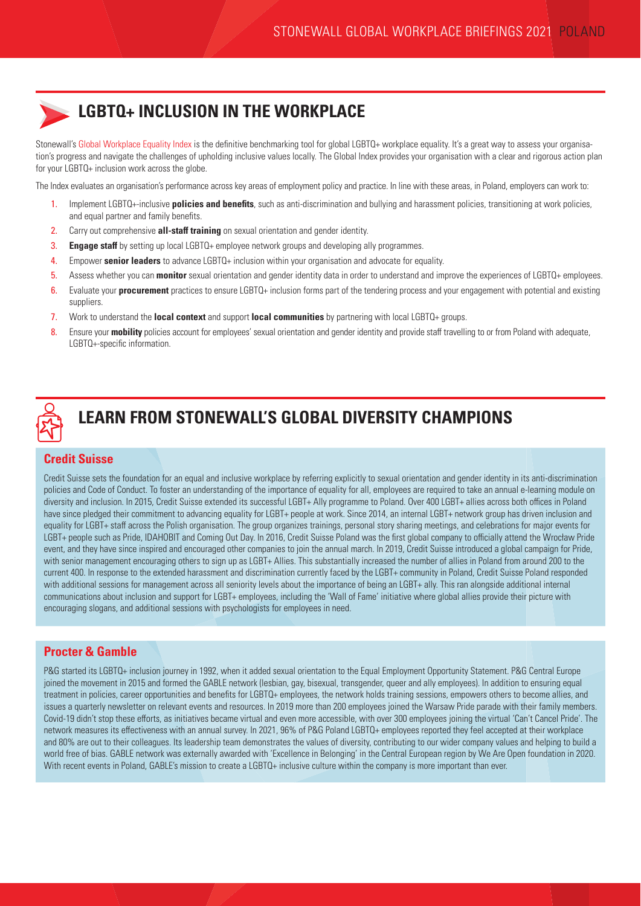# **LGBTQ+ INCLUSION IN THE WORKPLACE**

Stonewall's [Global Workplace Equality Index](https://www.stonewall.org.uk/node/126346) is the definitive benchmarking tool for global LGBTQ+ workplace equality. It's a great way to assess your organisation's progress and navigate the challenges of upholding inclusive values locally. The Global Index provides your organisation with a clear and rigorous action plan for your LGBTQ+ inclusion work across the globe.

The Index evaluates an organisation's performance across key areas of employment policy and practice. In line with these areas, in Poland, employers can work to:

- 1. Implement LGBTQ+-inclusive **policies and benefits**, such as anti-discrimination and bullying and harassment policies, transitioning at work policies, and equal partner and family benefits.
- 2. Carry out comprehensive **all-staff training** on sexual orientation and gender identity.
- 3. **Engage staff** by setting up local LGBTQ+ employee network groups and developing ally programmes.
- 4. Empower **senior leaders** to advance LGBTQ+ inclusion within your organisation and advocate for equality.
- 5. Assess whether you can **monitor** sexual orientation and gender identity data in order to understand and improve the experiences of LGBTQ+ employees.
- 6. Evaluate your **procurement** practices to ensure LGBTQ+ inclusion forms part of the tendering process and your engagement with potential and existing suppliers.
- 7. Work to understand the **local context** and support **local communities** by partnering with local LGBTQ+ groups.
- 8. Ensure your **mobility** policies account for employees' sexual orientation and gender identity and provide staff travelling to or from Poland with adequate, LGBTQ+-specific information.



# **LEARN FROM STONEWALL'S GLOBAL DIVERSITY CHAMPIONS**

#### **Credit Suisse**

Credit Suisse sets the foundation for an equal and inclusive workplace by referring explicitly to sexual orientation and gender identity in its anti-discrimination policies and Code of Conduct. To foster an understanding of the importance of equality for all, employees are required to take an annual e-learning module on diversity and inclusion. In 2015, Credit Suisse extended its successful LGBT+ Ally programme to Poland. Over 400 LGBT+ allies across both offices in Poland have since pledged their commitment to advancing equality for LGBT+ people at work. Since 2014, an internal LGBT+ network group has driven inclusion and equality for LGBT+ staff across the Polish organisation. The group organizes trainings, personal story sharing meetings, and celebrations for major events for LGBT+ people such as Pride, IDAHOBIT and Coming Out Day. In 2016, Credit Suisse Poland was the first global company to officially attend the Wrocław Pride event, and they have since inspired and encouraged other companies to join the annual march. In 2019, Credit Suisse introduced a global campaign for Pride, with senior management encouraging others to sign up as LGBT+ Allies. This substantially increased the number of allies in Poland from around 200 to the current 400. In response to the extended harassment and discrimination currently faced by the LGBT+ community in Poland, Credit Suisse Poland responded with additional sessions for management across all seniority levels about the importance of being an LGBT+ ally. This ran alongside additional internal communications about inclusion and support for LGBT+ employees, including the 'Wall of Fame' initiative where global allies provide their picture with encouraging slogans, and additional sessions with psychologists for employees in need.

#### **Procter & Gamble**

P&G started its LGBTQ+ inclusion journey in 1992, when it added sexual orientation to the Equal Employment Opportunity Statement. P&G Central Europe joined the movement in 2015 and formed the GABLE network (lesbian, gay, bisexual, transgender, queer and ally employees). In addition to ensuring equal treatment in policies, career opportunities and benefits for LGBTQ+ employees, the network holds training sessions, empowers others to become allies, and issues a quarterly newsletter on relevant events and resources. In 2019 more than 200 employees joined the Warsaw Pride parade with their family members. Covid-19 didn't stop these efforts, as initiatives became virtual and even more accessible, with over 300 employees joining the virtual 'Can't Cancel Pride'. The network measures its effectiveness with an annual survey. In 2021, 96% of P&G Poland LGBTQ+ employees reported they feel accepted at their workplace and 80% are out to their colleagues. Its leadership team demonstrates the values of diversity, contributing to our wider company values and helping to build a world free of bias. GABLE network was externally awarded with 'Excellence in Belonging' in the Central European region by We Are Open foundation in 2020. With recent events in Poland, GABLE's mission to create a LGBTQ+ inclusive culture within the company is more important than ever.